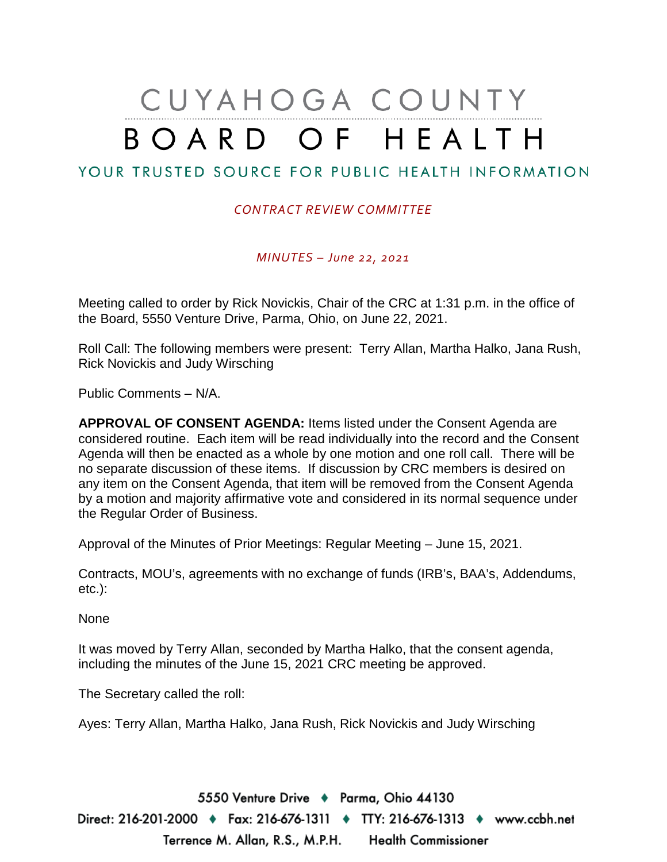# CUYAHOGA COUNTY BOARD OF HEALTH

## YOUR TRUSTED SOURCE FOR PUBLIC HEALTH INFORMATION

#### *CONTRACT REVIEW COMMITTEE*

*MINUTES – June 22, 2021*

Meeting called to order by Rick Novickis, Chair of the CRC at 1:31 p.m. in the office of the Board, 5550 Venture Drive, Parma, Ohio, on June 22, 2021.

Roll Call: The following members were present: Terry Allan, Martha Halko, Jana Rush, Rick Novickis and Judy Wirsching

Public Comments – N/A.

**APPROVAL OF CONSENT AGENDA:** Items listed under the Consent Agenda are considered routine. Each item will be read individually into the record and the Consent Agenda will then be enacted as a whole by one motion and one roll call. There will be no separate discussion of these items. If discussion by CRC members is desired on any item on the Consent Agenda, that item will be removed from the Consent Agenda by a motion and majority affirmative vote and considered in its normal sequence under the Regular Order of Business.

Approval of the Minutes of Prior Meetings: Regular Meeting – June 15, 2021.

Contracts, MOU's, agreements with no exchange of funds (IRB's, BAA's, Addendums, etc.):

None

It was moved by Terry Allan, seconded by Martha Halko, that the consent agenda, including the minutes of the June 15, 2021 CRC meeting be approved.

The Secretary called the roll:

Ayes: Terry Allan, Martha Halko, Jana Rush, Rick Novickis and Judy Wirsching

5550 Venture Drive + Parma, Ohio 44130 Direct: 216-201-2000 ♦ Fax: 216-676-1311 ♦ TTY: 216-676-1313 ♦ www.ccbh.net Terrence M. Allan, R.S., M.P.H. Health Commissioner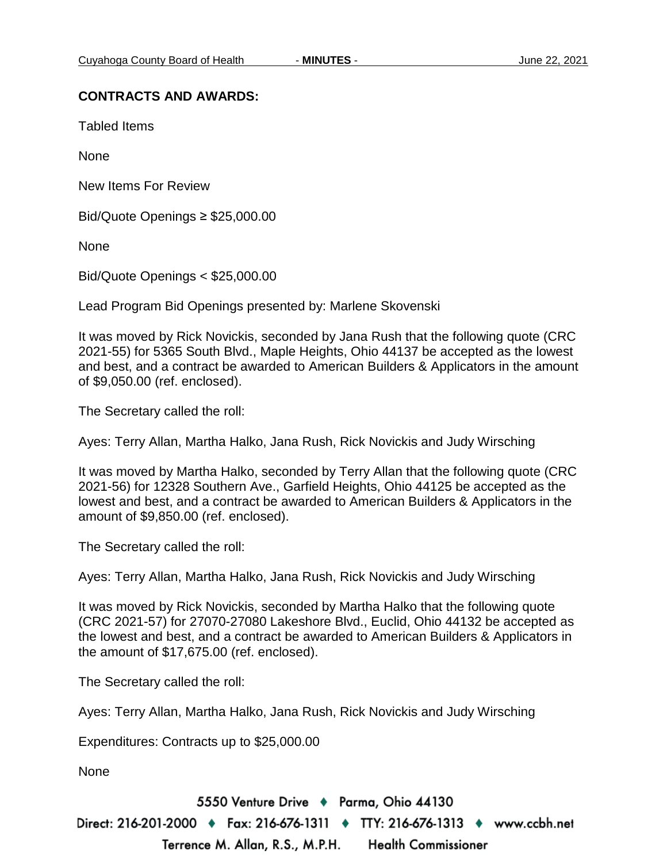### **CONTRACTS AND AWARDS:**

Tabled Items

None

New Items For Review

Bid/Quote Openings ≥ \$25,000.00

None

Bid/Quote Openings < \$25,000.00

Lead Program Bid Openings presented by: Marlene Skovenski

It was moved by Rick Novickis, seconded by Jana Rush that the following quote (CRC 2021-55) for 5365 South Blvd., Maple Heights, Ohio 44137 be accepted as the lowest and best, and a contract be awarded to American Builders & Applicators in the amount of \$9,050.00 (ref. enclosed).

The Secretary called the roll:

Ayes: Terry Allan, Martha Halko, Jana Rush, Rick Novickis and Judy Wirsching

It was moved by Martha Halko, seconded by Terry Allan that the following quote (CRC 2021-56) for 12328 Southern Ave., Garfield Heights, Ohio 44125 be accepted as the lowest and best, and a contract be awarded to American Builders & Applicators in the amount of \$9,850.00 (ref. enclosed).

The Secretary called the roll:

Ayes: Terry Allan, Martha Halko, Jana Rush, Rick Novickis and Judy Wirsching

It was moved by Rick Novickis, seconded by Martha Halko that the following quote (CRC 2021-57) for 27070-27080 Lakeshore Blvd., Euclid, Ohio 44132 be accepted as the lowest and best, and a contract be awarded to American Builders & Applicators in the amount of \$17,675.00 (ref. enclosed).

The Secretary called the roll:

Ayes: Terry Allan, Martha Halko, Jana Rush, Rick Novickis and Judy Wirsching

Expenditures: Contracts up to \$25,000.00

None

5550 Venture Drive + Parma, Ohio 44130 Direct: 216-201-2000 ♦ Fax: 216-676-1311 ♦ TTY: 216-676-1313 ♦ www.ccbh.net Terrence M. Allan, R.S., M.P.H. **Health Commissioner**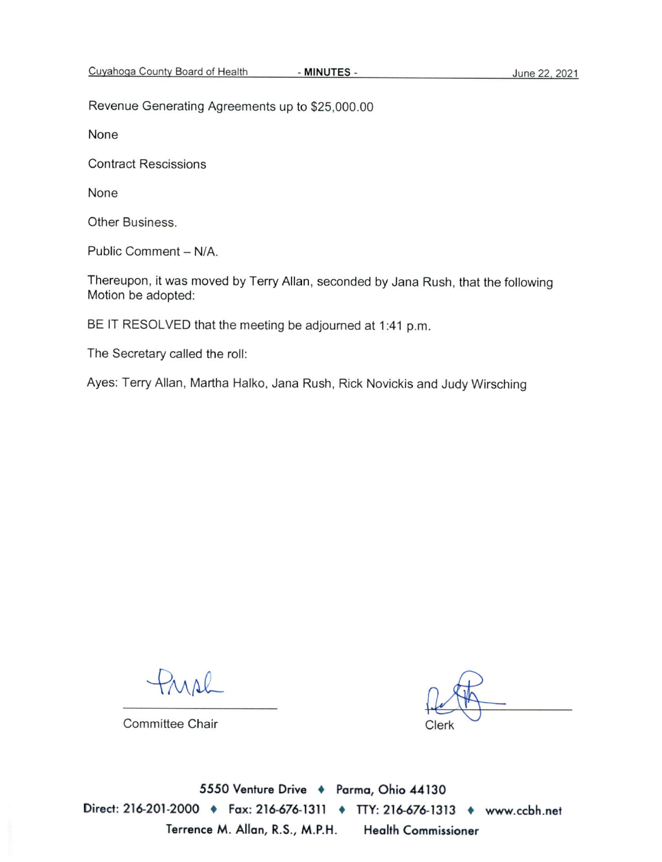Revenue Generating Agreements up to \$25,000.00

None

**Contract Rescissions** 

None

Other Business.

Public Comment - N/A.

Thereupon, it was moved by Terry Allan, seconded by Jana Rush, that the following Motion be adopted:

BE IT RESOLVED that the meeting be adjourned at 1:41 p.m.

The Secretary called the roll:

Ayes: Terry Allan, Martha Halko, Jana Rush, Rick Novickis and Judy Wirsching

Committee Chair

Clerk

5550 Venture Drive + Parma, Ohio 44130 Direct: 216-201-2000 • Fax: 216-676-1311 • TTY: 216-676-1313 • www.ccbh.net Terrence M. Allan, R.S., M.P.H. **Health Commissioner**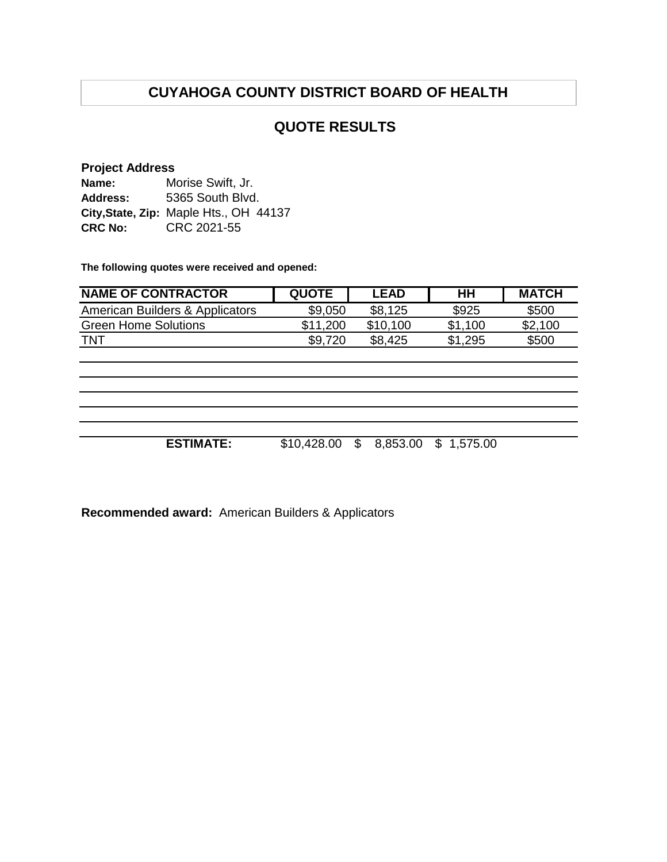# **CUYAHOGA COUNTY DISTRICT BOARD OF HEALTH**

## **QUOTE RESULTS**

#### **Project Address**

| Name:           | Morise Swift, Jr.                      |  |  |  |
|-----------------|----------------------------------------|--|--|--|
| <b>Address:</b> | 5365 South Blvd.                       |  |  |  |
|                 | City, State, Zip: Maple Hts., OH 44137 |  |  |  |
| <b>CRC No:</b>  | CRC 2021-55                            |  |  |  |

**The following quotes were received and opened:**

| <b>NAME OF CONTRACTOR</b>                  | <b>QUOTE</b> | <b>LEAD</b>    | HH         | <b>MATCH</b> |
|--------------------------------------------|--------------|----------------|------------|--------------|
| <b>American Builders &amp; Applicators</b> | \$9,050      | \$8,125        | \$925      | \$500        |
| <b>Green Home Solutions</b>                | \$11,200     | \$10,100       | \$1,100    | \$2,100      |
| <b>TNT</b>                                 | \$9,720      | \$8,425        | \$1,295    | \$500        |
|                                            |              |                |            |              |
|                                            |              |                |            |              |
|                                            |              |                |            |              |
|                                            |              |                |            |              |
|                                            |              |                |            |              |
|                                            |              |                |            |              |
| <b>ESTIMATE:</b>                           | \$10,428.00  | \$<br>8,853.00 | \$1,575.00 |              |
|                                            |              |                |            |              |

**Recommended award:** American Builders & Applicators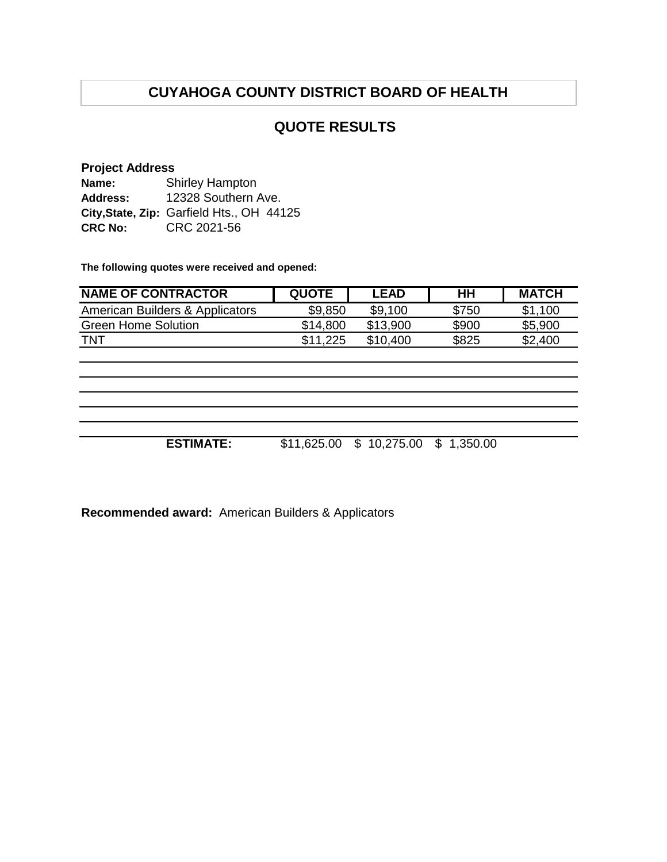# **CUYAHOGA COUNTY DISTRICT BOARD OF HEALTH**

## **QUOTE RESULTS**

#### **Project Address**

| Name:           | <b>Shirley Hampton</b>                    |  |  |  |
|-----------------|-------------------------------------------|--|--|--|
| <b>Address:</b> | 12328 Southern Ave.                       |  |  |  |
|                 | City, State, Zip: Garfield Hts., OH 44125 |  |  |  |
| <b>CRC No:</b>  | CRC 2021-56                               |  |  |  |

**The following quotes were received and opened:**

| <b>NAME OF CONTRACTOR</b>       | <b>QUOTE</b> | <b>LEAD</b> | HΗ    | <b>MATCH</b> |
|---------------------------------|--------------|-------------|-------|--------------|
| American Builders & Applicators | \$9,850      | \$9,100     | \$750 | \$1,100      |
| <b>Green Home Solution</b>      | \$14.800     | \$13.900    | \$900 | \$5,900      |
| TNT                             | \$11.225     | \$10,400    | \$825 | \$2,400      |
|                                 |              |             |       |              |

**ESTIMATE:** \$11,625.00 \$ 10,275.00 \$ 1,350.00

**Recommended award:** American Builders & Applicators